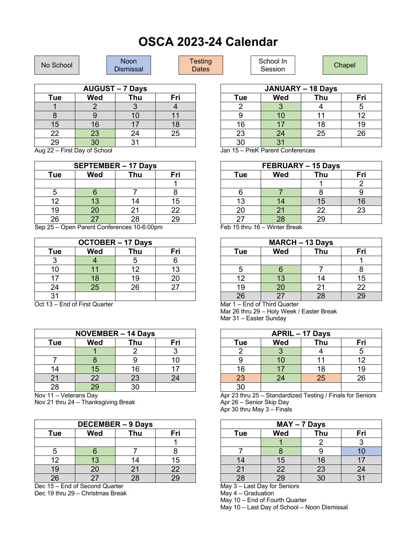## **OSCA 2023-24 Calendar**

| <b>Tue</b> | <b>Wed</b>      | Thu | Fri |
|------------|-----------------|-----|-----|
|            |                 |     |     |
|            |                 |     |     |
| 15         | 16              |     | 18  |
| 22         | 23              | 24  | 25  |
| 29         | $\overline{30}$ | 31  |     |

Aug 22 – First Day of School

| <b>SEPTEMBER - 17 Days</b> |            |            |     |  |
|----------------------------|------------|------------|-----|--|
| Tue                        | <b>Wed</b> | <b>Thu</b> | Fri |  |
|                            |            |            |     |  |
|                            |            |            |     |  |
| 12                         | 13         | 14         | 15  |  |
| 19                         | 20         | 21         | 22  |  |
| 26                         | 27         | 28         | 29  |  |

Sep 25 – Open Parent Conferences 10-6:00pm

| <b>OCTOBER - 17 Days</b> |            |     |     |
|--------------------------|------------|-----|-----|
| <b>Tue</b>               | <b>Wed</b> | Thu | Fri |
|                          |            |     |     |
| 10                       | 11         | 12  | 13  |
| 17                       | 18         | 19  | 20  |
| 24                       | 25         | 26  | 27  |
| ۹1                       |            |     |     |

Oct 13 – End of First Quarter

| <b>NOVEMBER - 14 Days</b>       |    |    |    |  |
|---------------------------------|----|----|----|--|
| <b>Wed</b><br>Thu<br>Fri<br>Tue |    |    |    |  |
|                                 |    |    |    |  |
|                                 |    |    | 10 |  |
| 14                              | 15 | 16 |    |  |
| 21                              | 22 | 23 | 24 |  |
| 28                              | 29 | ۹Λ |    |  |

Nov 11 – Veterans Day

Nov 21 thru 24 – Thanksgiving Break

| <b>DECEMBER - 9 Days</b>        |                 |    |    |  |  |
|---------------------------------|-----------------|----|----|--|--|
| <b>Wed</b><br>Thu<br>Fri<br>Tue |                 |    |    |  |  |
|                                 |                 |    |    |  |  |
|                                 |                 |    |    |  |  |
| 12                              | 13              | 14 | 15 |  |  |
| 19                              | 20 <sub>2</sub> | 21 | 22 |  |  |
| 26                              | 27              | 28 | 29 |  |  |

Dec 15 – End of Second Quarter Dec 19 thru 29 – Christmas Break

| <b>JANUARY - 18 Days</b> |                          |    |    |  |  |  |
|--------------------------|--------------------------|----|----|--|--|--|
| Tue                      | <b>Wed</b><br>Thu<br>Fri |    |    |  |  |  |
|                          |                          |    |    |  |  |  |
|                          | IO                       | 11 | 12 |  |  |  |
| 16                       |                          | 18 | 19 |  |  |  |
| 23                       | 24                       | 25 | 26 |  |  |  |
| 30                       |                          |    |    |  |  |  |

Jan 15 – PreK Parent Conferences

| FEBRUARY - 15 Days |                    |     |     |
|--------------------|--------------------|-----|-----|
| Tue                | <b>Wed</b>         | Thu | Fri |
|                    |                    |     |     |
|                    |                    |     |     |
| 13                 | 14                 | 15  | 16  |
| 20                 | 21                 | 22  | 23  |
| 27<br>$T + 1$      | 28<br>$\mathbf{v}$ | 29  |     |

Feb 15 thru 16 – Winter Break

| <b>MARCH - 13 Days</b> |            |     |     |
|------------------------|------------|-----|-----|
| Tue                    | <b>Wed</b> | Thu | Fri |
|                        |            |     |     |
| 5                      |            |     |     |
| 12                     | 13         | 14  | 15  |
| 19                     | 20         | 21  | 22  |
| 26<br>$\sim$ $\sim$    | 27         | 28  |     |

Mar 1 – End of Third Quarter Mar 26 thru 29 – Holy Week / Easter Break Mar 31 – Easter Sunday

| <b>APRIL - 17 Days</b>          |    |    |    |  |  |
|---------------------------------|----|----|----|--|--|
| Thu<br><b>Wed</b><br>Fri<br>Tue |    |    |    |  |  |
|                                 | 3  |    |    |  |  |
|                                 | 10 | 11 | 12 |  |  |
| 16                              | 17 | 18 | 19 |  |  |
| 23                              | 24 | 25 | 26 |  |  |
| $\overline{30}$                 |    |    |    |  |  |

Apr 23 thru 25 – Standardized Testing / Finals for Seniors Apr 26 – Senior Skip Day

Apr 30 thru May 3 – Finals

| MAY-7 Days |                 |                 |     |  |
|------------|-----------------|-----------------|-----|--|
| Tue        | <b>Wed</b>      | Thu             | Fri |  |
|            |                 |                 |     |  |
|            |                 |                 |     |  |
| 14         | 15              | 16              |     |  |
| 21         | 22              | 23              | 24  |  |
| 28         | $\overline{29}$ | $\overline{30}$ |     |  |

May 3 – Last Day for Seniors

May 4 – Graduation

May 10 – End of Fourth Quarter

May 10 – Last Day of School – Noon Dismissal